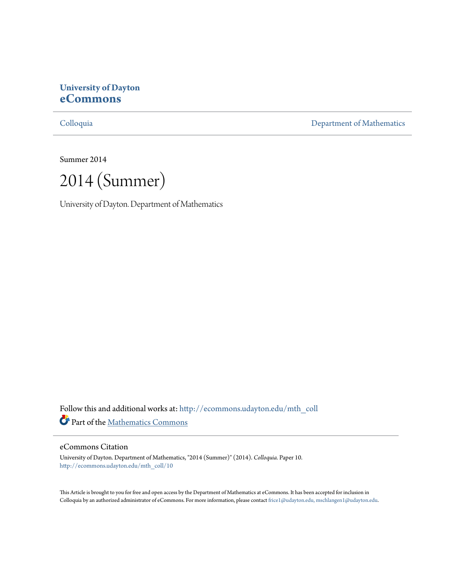# **University of Dayton [eCommons](http://ecommons.udayton.edu?utm_source=ecommons.udayton.edu%2Fmth_coll%2F10&utm_medium=PDF&utm_campaign=PDFCoverPages)**

[Colloquia](http://ecommons.udayton.edu/mth_coll?utm_source=ecommons.udayton.edu%2Fmth_coll%2F10&utm_medium=PDF&utm_campaign=PDFCoverPages) [Department of Mathematics](http://ecommons.udayton.edu/mth?utm_source=ecommons.udayton.edu%2Fmth_coll%2F10&utm_medium=PDF&utm_campaign=PDFCoverPages)

Summer 2014

2014 (Summer)

University of Dayton. Department of Mathematics

Follow this and additional works at: [http://ecommons.udayton.edu/mth\\_coll](http://ecommons.udayton.edu/mth_coll?utm_source=ecommons.udayton.edu%2Fmth_coll%2F10&utm_medium=PDF&utm_campaign=PDFCoverPages) Part of the [Mathematics Commons](http://network.bepress.com/hgg/discipline/174?utm_source=ecommons.udayton.edu%2Fmth_coll%2F10&utm_medium=PDF&utm_campaign=PDFCoverPages)

#### eCommons Citation

University of Dayton. Department of Mathematics, "2014 (Summer)" (2014). *Colloquia.* Paper 10. [http://ecommons.udayton.edu/mth\\_coll/10](http://ecommons.udayton.edu/mth_coll/10?utm_source=ecommons.udayton.edu%2Fmth_coll%2F10&utm_medium=PDF&utm_campaign=PDFCoverPages)

This Article is brought to you for free and open access by the Department of Mathematics at eCommons. It has been accepted for inclusion in Colloquia by an authorized administrator of eCommons. For more information, please contact [frice1@udayton.edu, mschlangen1@udayton.edu.](mailto:frice1@udayton.edu,%20mschlangen1@udayton.edu)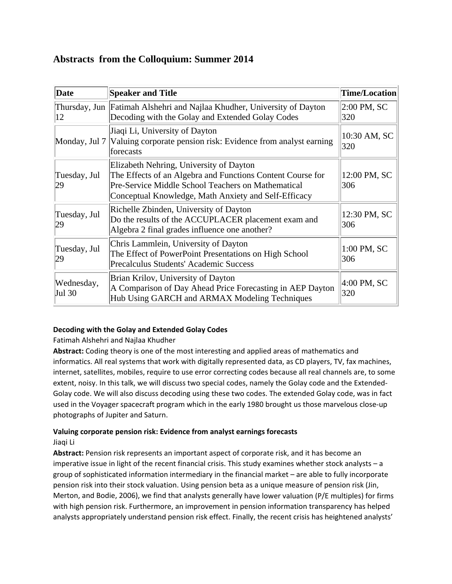## **Abstracts from the Colloquium: Summer 2014**

| Date                 | <b>Speaker and Title</b>                                                                                                                                                                                            | <b>Time/Location</b> |
|----------------------|---------------------------------------------------------------------------------------------------------------------------------------------------------------------------------------------------------------------|----------------------|
| 12                   | Thursday, Jun   Fatimah Alshehri and Najlaa Khudher, University of Dayton<br>Decoding with the Golay and Extended Golay Codes                                                                                       | 2:00 PM, SC<br>320   |
|                      | Jiaqi Li, University of Dayton<br>Monday, Jul 7 Valuing corporate pension risk: Evidence from analyst earning<br>forecasts                                                                                          | 10:30 AM, SC<br>320  |
| Tuesday, Jul<br>29   | Elizabeth Nehring, University of Dayton<br>The Effects of an Algebra and Functions Content Course for<br>Pre-Service Middle School Teachers on Mathematical<br>Conceptual Knowledge, Math Anxiety and Self-Efficacy | 12:00 PM, SC<br>306  |
| Tuesday, Jul<br>29   | Richelle Zbinden, University of Dayton<br>Do the results of the ACCUPLACER placement exam and<br>Algebra 2 final grades influence one another?                                                                      | 12:30 PM, SC<br>306  |
| Tuesday, Jul<br>29   | Chris Lammlein, University of Dayton<br>The Effect of PowerPoint Presentations on High School<br>Precalculus Students' Academic Success                                                                             | 1:00 PM, SC<br>306   |
| Wednesday,<br>Jul 30 | Brian Krilov, University of Dayton<br>A Comparison of Day Ahead Price Forecasting in AEP Dayton<br>Hub Using GARCH and ARMAX Modeling Techniques                                                                    | 4:00 PM, SC<br>320   |

## **Decoding with the Golay and Extended Golay Codes**

## Fatimah Alshehri and Najlaa Khudher

**Abstract:** Coding theory is one of the most interesting and applied areas of mathematics and informatics. All real systems that work with digitally represented data, as CD players, TV, fax machines, internet, satellites, mobiles, require to use error correcting codes because all real channels are, to some extent, noisy. In this talk, we will discuss two special codes, namely the Golay code and the Extended‐ Golay code. We will also discuss decoding using these two codes. The extended Golay code, was in fact used in the Voyager spacecraft program which in the early 1980 brought us those marvelous close‐up photographs of Jupiter and Saturn.

#### **Valuing corporate pension risk: Evidence from analyst earnings forecasts**

Jiaqi Li

**Abstract:** Pension risk represents an important aspect of corporate risk, and it has become an imperative issue in light of the recent financial crisis. This study examines whether stock analysts – a group of sophisticated information intermediary in the financial market – are able to fully incorporate pension risk into their stock valuation. Using pension beta as a unique measure of pension risk (Jin, Merton, and Bodie, 2006), we find that analysts generally have lower valuation (P/E multiples) for firms with high pension risk. Furthermore, an improvement in pension information transparency has helped analysts appropriately understand pension risk effect. Finally, the recent crisis has heightened analysts'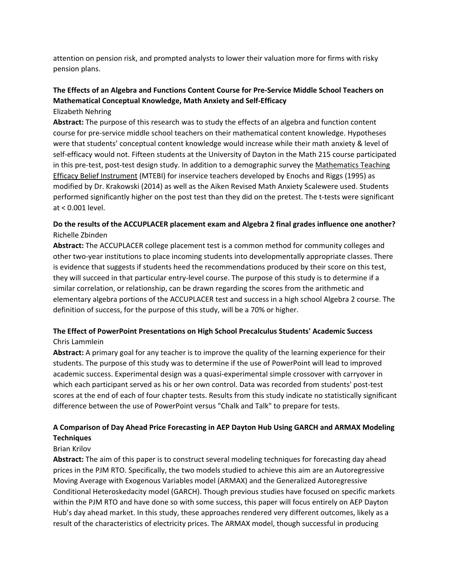attention on pension risk, and prompted analysts to lower their valuation more for firms with risky pension plans.

## **The Effects of an Algebra and Functions Content Course for Pre‐Service Middle School Teachers on Mathematical Conceptual Knowledge, Math Anxiety and Self‐Efficacy**

Elizabeth Nehring

**Abstract:** The purpose of this research was to study the effects of an algebra and function content course for pre‐service middle school teachers on their mathematical content knowledge. Hypotheses were that students' conceptual content knowledge would increase while their math anxiety & level of self-efficacy would not. Fifteen students at the University of Dayton in the Math 215 course participated in this pre‐test, post‐test design study. In addition to a demographic survey the Mathematics Teaching Efficacy Belief Instrument (MTEBI) for inservice teachers developed by Enochs and Riggs (1995) as modified by Dr. Krakowski (2014) as well as the Aiken Revised Math Anxiety Scalewere used. Students performed significantly higher on the post test than they did on the pretest. The t-tests were significant at < 0.001 level.

### **Do the results of the ACCUPLACER placement exam and Algebra 2 final grades influence one another?** Richelle Zbinden

**Abstract:** The ACCUPLACER college placement test is a common method for community colleges and other two‐year institutions to place incoming students into developmentally appropriate classes. There is evidence that suggests if students heed the recommendations produced by their score on this test, they will succeed in that particular entry‐level course. The purpose of this study is to determine if a similar correlation, or relationship, can be drawn regarding the scores from the arithmetic and elementary algebra portions of the ACCUPLACER test and success in a high school Algebra 2 course. The definition of success, for the purpose of this study, will be a 70% or higher.

## **The Effect of PowerPoint Presentations on High School Precalculus Students' Academic Success** Chris Lammlein

**Abstract:** A primary goal for any teacher is to improve the quality of the learning experience for their students. The purpose of this study was to determine if the use of PowerPoint will lead to improved academic success. Experimental design was a quasi‐experimental simple crossover with carryover in which each participant served as his or her own control. Data was recorded from students' post-test scores at the end of each of four chapter tests. Results from this study indicate no statistically significant difference between the use of PowerPoint versus "Chalk and Talk" to prepare for tests.

## **A Comparison of Day Ahead Price Forecasting in AEP Dayton Hub Using GARCH and ARMAX Modeling Techniques**

#### Brian Krilov

**Abstract:** The aim of this paper is to construct several modeling techniques for forecasting day ahead prices in the PJM RTO. Specifically, the two models studied to achieve this aim are an Autoregressive Moving Average with Exogenous Variables model (ARMAX) and the Generalized Autoregressive Conditional Heteroskedacity model (GARCH). Though previous studies have focused on specific markets within the PJM RTO and have done so with some success, this paper will focus entirely on AEP Dayton Hub's day ahead market. In this study, these approaches rendered very different outcomes, likely as a result of the characteristics of electricity prices. The ARMAX model, though successful in producing